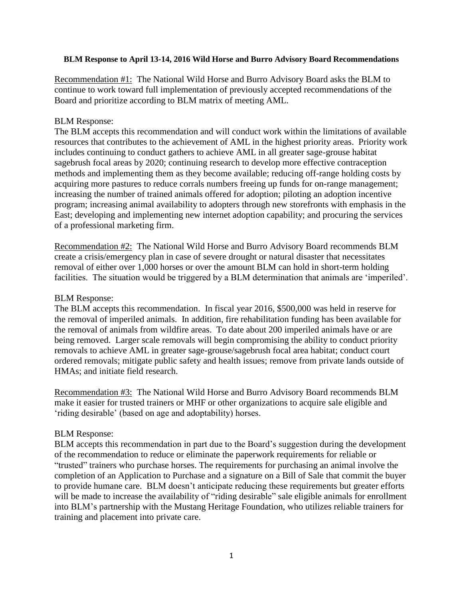#### **BLM Response to April 13-14, 2016 Wild Horse and Burro Advisory Board Recommendations**

Recommendation #1: The National Wild Horse and Burro Advisory Board asks the BLM to continue to work toward full implementation of previously accepted recommendations of the Board and prioritize according to BLM matrix of meeting AML.

### BLM Response:

The BLM accepts this recommendation and will conduct work within the limitations of available resources that contributes to the achievement of AML in the highest priority areas. Priority work includes continuing to conduct gathers to achieve AML in all greater sage-grouse habitat sagebrush focal areas by 2020; continuing research to develop more effective contraception methods and implementing them as they become available; reducing off-range holding costs by acquiring more pastures to reduce corrals numbers freeing up funds for on-range management; increasing the number of trained animals offered for adoption; piloting an adoption incentive program; increasing animal availability to adopters through new storefronts with emphasis in the East; developing and implementing new internet adoption capability; and procuring the services of a professional marketing firm.

Recommendation #2: The National Wild Horse and Burro Advisory Board recommends BLM create a crisis/emergency plan in case of severe drought or natural disaster that necessitates removal of either over 1,000 horses or over the amount BLM can hold in short-term holding facilities. The situation would be triggered by a BLM determination that animals are 'imperiled'.

### BLM Response:

The BLM accepts this recommendation. In fiscal year 2016, \$500,000 was held in reserve for the removal of imperiled animals. In addition, fire rehabilitation funding has been available for the removal of animals from wildfire areas. To date about 200 imperiled animals have or are being removed. Larger scale removals will begin compromising the ability to conduct priority removals to achieve AML in greater sage-grouse/sagebrush focal area habitat; conduct court ordered removals; mitigate public safety and health issues; remove from private lands outside of HMAs; and initiate field research.

Recommendation #3: The National Wild Horse and Burro Advisory Board recommends BLM make it easier for trusted trainers or MHF or other organizations to acquire sale eligible and 'riding desirable' (based on age and adoptability) horses.

### BLM Response:

BLM accepts this recommendation in part due to the Board's suggestion during the development of the recommendation to reduce or eliminate the paperwork requirements for reliable or "trusted" trainers who purchase horses. The requirements for purchasing an animal involve the completion of an Application to Purchase and a signature on a Bill of Sale that commit the buyer to provide humane care. BLM doesn't anticipate reducing these requirements but greater efforts will be made to increase the availability of "riding desirable" sale eligible animals for enrollment into BLM's partnership with the Mustang Heritage Foundation, who utilizes reliable trainers for training and placement into private care.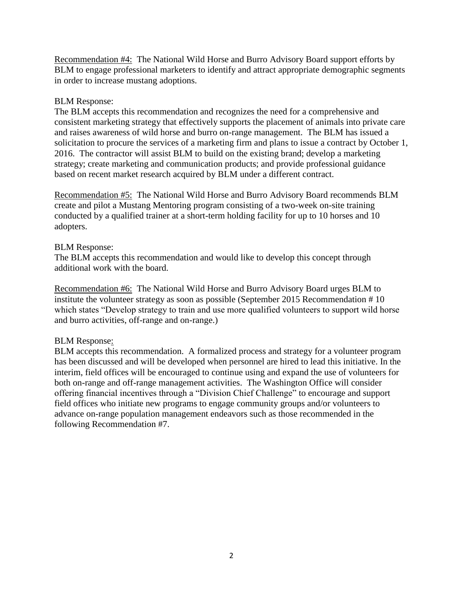Recommendation #4: The National Wild Horse and Burro Advisory Board support efforts by BLM to engage professional marketers to identify and attract appropriate demographic segments in order to increase mustang adoptions.

## BLM Response:

The BLM accepts this recommendation and recognizes the need for a comprehensive and consistent marketing strategy that effectively supports the placement of animals into private care and raises awareness of wild horse and burro on-range management. The BLM has issued a solicitation to procure the services of a marketing firm and plans to issue a contract by October 1, 2016. The contractor will assist BLM to build on the existing brand; develop a marketing strategy; create marketing and communication products; and provide professional guidance based on recent market research acquired by BLM under a different contract.

Recommendation #5: The National Wild Horse and Burro Advisory Board recommends BLM create and pilot a Mustang Mentoring program consisting of a two-week on-site training conducted by a qualified trainer at a short-term holding facility for up to 10 horses and 10 adopters.

## BLM Response:

The BLM accepts this recommendation and would like to develop this concept through additional work with the board.

Recommendation #6: The National Wild Horse and Burro Advisory Board urges BLM to institute the volunteer strategy as soon as possible (September 2015 Recommendation # 10 which states "Develop strategy to train and use more qualified volunteers to support wild horse and burro activities, off-range and on-range.)

# BLM Response:

BLM accepts this recommendation. A formalized process and strategy for a volunteer program has been discussed and will be developed when personnel are hired to lead this initiative. In the interim, field offices will be encouraged to continue using and expand the use of volunteers for both on-range and off-range management activities. The Washington Office will consider offering financial incentives through a "Division Chief Challenge" to encourage and support field offices who initiate new programs to engage community groups and/or volunteers to advance on-range population management endeavors such as those recommended in the following Recommendation #7.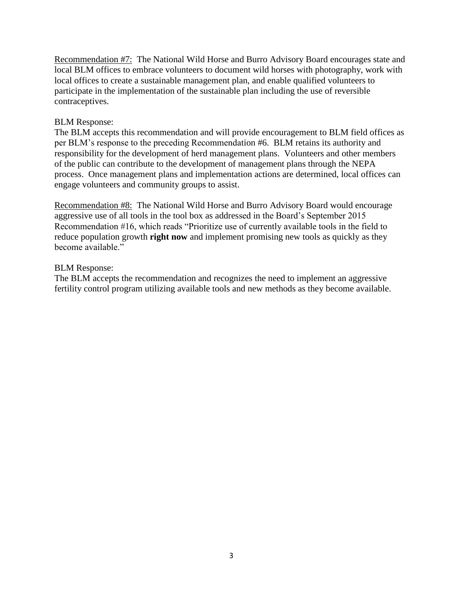Recommendation #7: The National Wild Horse and Burro Advisory Board encourages state and local BLM offices to embrace volunteers to document wild horses with photography, work with local offices to create a sustainable management plan, and enable qualified volunteers to participate in the implementation of the sustainable plan including the use of reversible contraceptives.

### BLM Response:

The BLM accepts this recommendation and will provide encouragement to BLM field offices as per BLM's response to the preceding Recommendation #6. BLM retains its authority and responsibility for the development of herd management plans. Volunteers and other members of the public can contribute to the development of management plans through the NEPA process. Once management plans and implementation actions are determined, local offices can engage volunteers and community groups to assist.

Recommendation #8: The National Wild Horse and Burro Advisory Board would encourage aggressive use of all tools in the tool box as addressed in the Board's September 2015 Recommendation #16, which reads "Prioritize use of currently available tools in the field to reduce population growth **right now** and implement promising new tools as quickly as they become available."

### BLM Response:

The BLM accepts the recommendation and recognizes the need to implement an aggressive fertility control program utilizing available tools and new methods as they become available.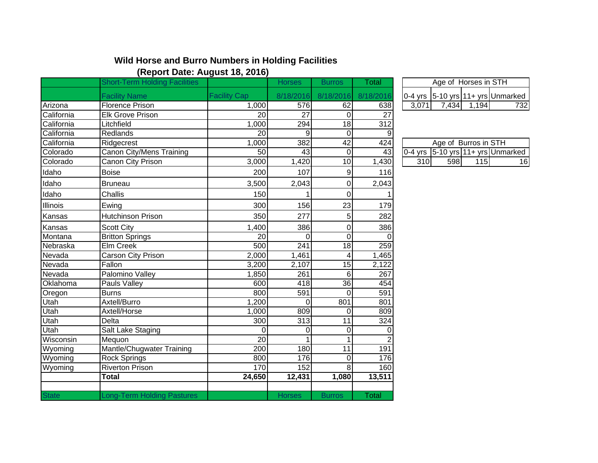# **Wild Horse and Burro Numbers in Holding Facilities (Report Date: August 18, 2016)**

|                 | <b>Short-Term Holding Facilities</b> |                     | <b>Horses</b>   | <b>Burros</b>   | Total            |       |       | Age of Horses in STH |                                                       |
|-----------------|--------------------------------------|---------------------|-----------------|-----------------|------------------|-------|-------|----------------------|-------------------------------------------------------|
|                 | <b>Facility Name</b>                 | <b>Facility Cap</b> | 8/18/2016       | 8/18/2016       | 8/18/2016        |       |       |                      | 0-4 yrs $ 5-10 \text{ yrs} 11+ \text{ yrs} $ Unmarked |
| Arizona         | <b>Florence Prison</b>               | 1,000               | 576             | 62              | 638              | 3,071 | 7,434 | 1,194                | 732                                                   |
| California      | Elk Grove Prison                     | 20                  | $\overline{27}$ | $\Omega$        | $\overline{27}$  |       |       |                      |                                                       |
| California      | Litchfield                           | 1,000               | 294             | $\frac{1}{8}$   | $\overline{312}$ |       |       |                      |                                                       |
| California      | Redlands                             | 20                  | 9               | $\overline{O}$  | 9                |       |       |                      |                                                       |
| California      | Ridgecrest                           | 1,000               | 382             | $\overline{42}$ | 424              |       |       | Age of Burros in STH |                                                       |
| Colorado        | Canon City/Mens Training             | 50                  | 43              | $\mathbf 0$     | 43               |       |       |                      | $0-4$ yrs $5-10$ yrs 11+ yrs Unmarked                 |
| Colorado        | Canon City Prison                    | 3,000               | 1,420           | $\overline{10}$ | 1,430            | 310   | 598   | 115                  | 16                                                    |
| Idaho           | <b>Boise</b>                         | 200                 | 107             | 9               | 116              |       |       |                      |                                                       |
| Idaho           | Bruneau                              | 3,500               | 2,043           | 0               | 2,043            |       |       |                      |                                                       |
| Idaho           | Challis                              | 150                 |                 | 0               |                  |       |       |                      |                                                       |
| <b>Illinois</b> | Ewing                                | 300                 | 156             | 23              | 179              |       |       |                      |                                                       |
| Kansas          | <b>Hutchinson Prison</b>             | 350                 | 277             | 5               | 282              |       |       |                      |                                                       |
| Kansas          | <b>Scott City</b>                    | 1,400               | 386             | 0               | 386              |       |       |                      |                                                       |
| Montana         | <b>Britton Springs</b>               | 20                  | $\Omega$        | $\Omega$        | $\Omega$         |       |       |                      |                                                       |
| Nebraska        | Elm Creek                            | 500                 | 241             | 18              | 259              |       |       |                      |                                                       |
| Nevada          | Carson City Prison                   | 2,000               | 1,461           | 4               | 1,465            |       |       |                      |                                                       |
| Nevada          | Fallon                               | 3,200               | 2,107           | 15              | 2,122            |       |       |                      |                                                       |
| Nevada          | Palomino Valley                      | 1,850               | 261             | 6               | 267              |       |       |                      |                                                       |
| Oklahoma        | Pauls Valley                         | 600                 | 418             | $\overline{36}$ | 454              |       |       |                      |                                                       |
| Oregon          | <b>Burns</b>                         | 800                 | 591             | $\mathbf 0$     | 591              |       |       |                      |                                                       |
| Utah            | Axtell/Burro                         | 1,200               | $\overline{0}$  | 801             | 801              |       |       |                      |                                                       |
| Utah            | Axtell/Horse                         | 1,000               | 809             | 0               | 809              |       |       |                      |                                                       |
| Utah            | <b>Delta</b>                         | 300                 | 313             | 11              | 324              |       |       |                      |                                                       |
| Utah            | Salt Lake Staging                    | $\Omega$            | 0               | 0               | $\Omega$         |       |       |                      |                                                       |
| Wisconsin       | Mequon                               | $\overline{20}$     |                 |                 | $\overline{2}$   |       |       |                      |                                                       |
| Wyoming         | Mantle/Chugwater Training            | 200                 | 180             | 11              | 191              |       |       |                      |                                                       |
| Wyoming         | <b>Rock Springs</b>                  | 800                 | 176             | $\Omega$        | 176              |       |       |                      |                                                       |
| Wyoming         | <b>Riverton Prison</b>               | 170                 | 152             | 8               | 160              |       |       |                      |                                                       |
|                 | <b>Total</b>                         | 24,650              | 12,431          | 1,080           | 13,511           |       |       |                      |                                                       |
| <b>State</b>    | <b>Long-Term Holding Pastures</b>    |                     | <b>Horses</b>   | <b>Burros</b>   | Total            |       |       |                      |                                                       |
|                 |                                      |                     |                 |                 |                  |       |       |                      |                                                       |

| Age of Horses in STH |      |  |                                       |  |  |  |  |  |  |
|----------------------|------|--|---------------------------------------|--|--|--|--|--|--|
|                      |      |  | $0-4$ yrs $5-10$ yrs 11+ yrs Unmarked |  |  |  |  |  |  |
|                      | 7434 |  |                                       |  |  |  |  |  |  |

| Age of Burros in STH |       |      |                                                        |  |  |  |  |  |  |
|----------------------|-------|------|--------------------------------------------------------|--|--|--|--|--|--|
|                      |       |      | $\overline{0.4 \text{ yrs}}$ 5-10 yrs 11+ yrs Unmarked |  |  |  |  |  |  |
| 310                  | 598 l | 115I |                                                        |  |  |  |  |  |  |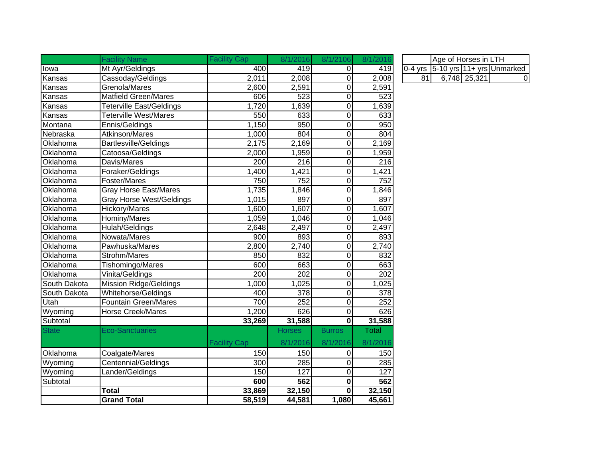|              | <b>Facility Name</b>            | <b>Facility Cap</b> | 8/1/2016      | 8/1/2106       | 8/1/2016         | Age of Horses in LTH                  |
|--------------|---------------------------------|---------------------|---------------|----------------|------------------|---------------------------------------|
| lowa         | Mt Ayr/Geldings                 | 400                 | 419           | $\mathbf 0$    | 419              | $0-4$ yrs $5-10$ yrs 11+ yrs Unmarked |
| Kansas       | Cassoday/Geldings               | 2,011               | 2,008         | $\pmb{0}$      | 2,008            | 81<br>6,748 25,321                    |
| Kansas       | Grenola/Mares                   | 2,600               | 2,591         | $\pmb{0}$      | 2,591            |                                       |
| Kansas       | <b>Matfield Green/Mares</b>     | 606                 | 523           | $\pmb{0}$      | $\overline{523}$ |                                       |
| Kansas       | Teterville East/Geldings        | 1,720               | 1,639         | $\pmb{0}$      | 1,639            |                                       |
| Kansas       | <b>Teterville West/Mares</b>    | 550                 | 633           | $\pmb{0}$      | 633              |                                       |
| Montana      | Ennis/Geldings                  | 1,150               | 950           | $\pmb{0}$      | 950              |                                       |
| Nebraska     | Atkinson/Mares                  | 1,000               | 804           | $\pmb{0}$      | 804              |                                       |
| Oklahoma     | <b>Bartlesville/Geldings</b>    | 2,175               | 2,169         | $\pmb{0}$      | 2,169            |                                       |
| Oklahoma     | Catoosa/Geldings                | 2,000               | 1,959         | $\pmb{0}$      | 1,959            |                                       |
| Oklahoma     | Davis/Mares                     | 200                 | 216           | $\pmb{0}$      | 216              |                                       |
| Oklahoma     | Foraker/Geldings                | 1,400               | 1,421         | $\pmb{0}$      | 1,421            |                                       |
| Oklahoma     | Foster/Mares                    | 750                 | 752           | $\pmb{0}$      | 752              |                                       |
| Oklahoma     | <b>Gray Horse East/Mares</b>    | 1,735               | 1,846         | $\pmb{0}$      | 1,846            |                                       |
| Oklahoma     | <b>Gray Horse West/Geldings</b> | 1,015               | 897           | $\pmb{0}$      | 897              |                                       |
| Oklahoma     | <b>Hickory/Mares</b>            | 1,600               | 1,607         | $\pmb{0}$      | 1,607            |                                       |
| Oklahoma     | Hominy/Mares                    | 1,059               | 1,046         | $\pmb{0}$      | 1,046            |                                       |
| Oklahoma     | Hulah/Geldings                  | 2,648               | 2,497         | $\mathbf 0$    | 2,497            |                                       |
| Oklahoma     | Nowata/Mares                    | 900                 | 893           | $\mathbf 0$    | 893              |                                       |
| Oklahoma     | Pawhuska/Mares                  | 2,800               | 2,740         | $\mathbf 0$    | 2,740            |                                       |
| Oklahoma     | Strohm/Mares                    | 850                 | 832           | $\mathbf 0$    | 832              |                                       |
| Oklahoma     | Tishomingo/Mares                | 600                 | 663           | $\mathbf 0$    | 663              |                                       |
| Oklahoma     | Vinita/Geldings                 | 200                 | 202           | $\mathbf 0$    | 202              |                                       |
| South Dakota | <b>Mission Ridge/Geldings</b>   | 1,000               | 1,025         | $\mathbf 0$    | 1,025            |                                       |
| South Dakota | Whitehorse/Geldings             | 400                 | 378           | $\mathbf 0$    | 378              |                                       |
| Utah         | <b>Fountain Green/Mares</b>     | 700                 | 252           | $\mathbf 0$    | 252              |                                       |
| Wyoming      | Horse Creek/Mares               | 1,200               | 626           | $\overline{0}$ | 626              |                                       |
| Subtotal     |                                 | 33,269              | 31,588        | $\bf{0}$       | 31,588           |                                       |
| State        | <b>Eco-Sanctuaries</b>          |                     | <b>Horses</b> | <b>Burros</b>  | Total            |                                       |
|              |                                 | <b>Facility Cap</b> | 8/1/2016      | 8/1/2016       | 8/1/2016         |                                       |
| Oklahoma     | Coalgate/Mares                  | 150                 | 150           | $\mathbf 0$    | 150              |                                       |
| Wyoming      | Centennial/Geldings             | 300                 | 285           | 0              | 285              |                                       |
| Wyoming      | Lander/Geldings                 | 150                 | 127           | $\mathbf 0$    | $\overline{127}$ |                                       |
| Subtotal     |                                 | 600                 | 562           | $\mathbf 0$    | 562              |                                       |
|              | <b>Total</b>                    | 33,869              | 32,150        | 0              | 32,150           |                                       |
|              | <b>Grand Total</b>              | 58,519              | 44,581        | 1,080          | 45,661           |                                       |

|      | Age of Horses in LTH |              |                                                                           |  |  |  |  |  |  |  |
|------|----------------------|--------------|---------------------------------------------------------------------------|--|--|--|--|--|--|--|
|      |                      |              | $\vert$ 0-4 yrs $\vert$ 5-10 yrs $\vert$ 11+ yrs $\vert$ Unmarked $\vert$ |  |  |  |  |  |  |  |
| 81 I |                      | 6,748 25,321 |                                                                           |  |  |  |  |  |  |  |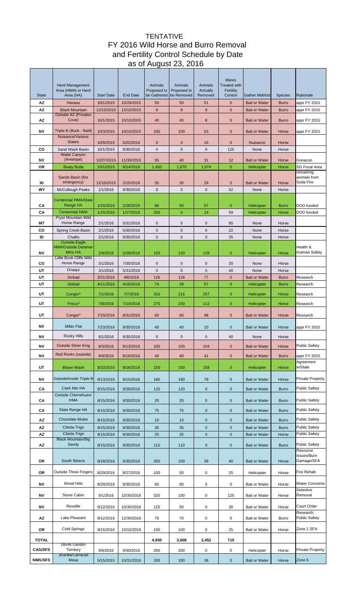# TENTATIVE FY 2016 Wild Horse and Burro Removal and Fertility Control Schedule by Date as of August 23, 2016

|                |                                                                         |                         |                          |                        |                        |                            | <b>Mares</b>                     |                                              |                              |                                       |
|----------------|-------------------------------------------------------------------------|-------------------------|--------------------------|------------------------|------------------------|----------------------------|----------------------------------|----------------------------------------------|------------------------------|---------------------------------------|
|                | <b>Herd Management</b><br>Area (HMA) or Herd                            |                         |                          | Animals<br>Proposed to | Animals<br>Proposed to | Animals<br><b>Actually</b> | <b>Treated with</b><br>Fertility |                                              |                              |                                       |
| <b>State</b>   | Area (HA)                                                               | <b>Start Date</b>       | End Date                 | be Gathered            | be Removed             | Removed                    | Control                          | <b>Gather Method</b>                         | <b>Species</b>               | Rationale                             |
| AZ<br>AZ       | Havasu<br><b>Black Mountain</b>                                         | 10/1/2015<br>12/10/2015 | 10/26/2015<br>12/10/2015 | 50<br>8                | 50<br>8                | 51<br>9                    | $\mathbf{0}$<br>$\mathbf{0}$     | <b>Bait or Water</b><br><b>Bait or Water</b> | <b>Burro</b><br><b>Burro</b> | appr FY 2015<br>appr FY 2015          |
|                | <b>Outside AZ (Privates</b>                                             |                         |                          |                        |                        |                            |                                  |                                              |                              |                                       |
| AZ             | Cove)                                                                   | 10/1/2015               | 10/15/2015               | 40                     | 40                     | 8                          | $\mathbf 0$                      | <b>Bait or Water</b>                         | <b>Burro</b>                 | appr FY 2015                          |
| ΝV             | Triple B (Buck - Bald)<br>Nuisance/Various                              | 10/3/2015               | 10/15/2015               | 100                    | 100                    | 53                         | $\mathbf{0}$                     | <b>Bait or Water</b>                         | Horse                        | appr FY 2015                          |
|                | <b>States</b>                                                           | 10/9/2015<br>10/1/2015  | 5/22/2016                | 0                      | 0                      | 16                         | $\mathbf 0$                      | <b>Nuisance</b>                              | Horse                        |                                       |
| CO             | Sand Wash Basin<br><b>Water Canyon</b>                                  |                         | 9/30/2016                | $\mathbf 0$            | $\mathbf 0$            | $\mathbf 0$                | 125                              | None                                         | Horse                        |                                       |
| ΝV             | (Antelope)                                                              | 10/27/2015              | 11/30/2015               | 55                     | 40                     | 31                         | 12                               | <b>Bait or Water</b>                         | Horse                        | Gonacon                               |
| OR             | <b>Beaty Butte</b>                                                      | 10/1/2015               | 6/14/2016                | 1,450                  | 1,070                  | 1,074                      | $\mathbf{0}$                     | Helicopter                                   | Horse                        | <b>SG Focal Area</b><br>remaining     |
| ID             | Sands Basin (fire<br>emergency)                                         | 12/15/2015              | 2/15/2016                | 35                     | 35                     | 29                         | $\mathbf{0}$                     | <b>Bait or Water</b>                         | Horse                        | animals from<br>Soda Fire             |
| WY             | <b>McCullough Peaks</b>                                                 | 1/1/2016                | 9/30/2016                | $\mathbf{0}$           | $\mathbf 0$            | $\mathbf 0$                | 52                               | None                                         | Horse                        |                                       |
|                | <b>Centennial HMA/Slate</b>                                             |                         |                          |                        |                        |                            |                                  |                                              |                              |                                       |
| CА             | Range HA                                                                | 1/15/2016               | 2/26/2016                | 86                     | 50                     | 57                         | $\mathbf 0$                      | Helicopter                                   | <b>Burro</b>                 | DOD funded                            |
| CА             | <b>Centennial HMA</b><br>Pryor Mountain Wild                            | 1/15/2016               | 1/17/2016                | 200                    | $\pmb{0}$              | 14                         | 59                               | Helicopter                                   | Horse                        | DOD funded                            |
| МT             | Horse Range                                                             | 2/1/2016                | 5/31/2016                | 0                      | 0                      | $\mathbf 0$                | 65                               | None                                         | Horse                        |                                       |
| CO             | Spring Creek Basin                                                      | 2/1/2016                | 5/30/2016                | 0                      | $\mathbf 0$            | $\mathbf 0$                | 22                               | None                                         | Horse                        |                                       |
| ID             | Challis<br><b>Outside Eagle</b>                                         | 2/1/2016                | 9/30/2016                | 0                      | $\mathbf 0$            | $\mathbf 0$                | 35                               | None                                         | Horse                        |                                       |
| ΝV             | <b>HMA/Outside Delamar</b><br><b>Mtns HA</b><br>Little Book Cliffs Wild | 2/9/2016                | 2/28/2016                | 120                    | 120                    | 128                        | $\mathbf{0}$                     | Helicopter                                   | Horse                        | Health &<br>Huiman Safety             |
| CO             | Horse Range                                                             | 3/1/2016                | 7/30/2016                | 0                      | $\mathbf 0$            | $\mathbf 0$                | 20                               | None                                         | Horse                        |                                       |
| UT             | Onaqui                                                                  | 3/1/2016                | 5/31/2016                | $\mathbf 0$            | $\mathbf 0$            | $\mathbf 0$                | 40                               | None                                         | Horse                        |                                       |
| UT             | Sinbad                                                                  | 3/21/2016               | 4/6/2016                 | 126                    | 126                    | 77                         | $\mathbf{0}$                     | <b>Bait or Water</b>                         | <b>Burro</b>                 | Research                              |
| UT             | Sinbad                                                                  | 4/11/2016               | 4/19/2016                | 74                     | 28                     | 57                         | $\overline{0}$                   | Helicopter                                   | <b>Burro</b>                 | Research                              |
| UT             | Conger*                                                                 | 7/1/2016                | 7/7/2016                 | 316                    | 216                    | 257                        | $\mathbf{0}$                     | Helicopter                                   | Horse                        | Research                              |
| UT             | Frisco*                                                                 | 7/8/2016                | 7/14/2016                | 275                    | 230                    | 112                        | $\mathbf{0}$                     | Helicopter                                   | Horse                        | Research                              |
| UT             | Conger*                                                                 | 7/15/2016               | 8/31/2016                | 60                     | 60                     | 48                         | $\mathbf 0$                      | <b>Bait or Water</b>                         | Horse                        | Research                              |
| <b>NV</b>      | <b>Miller Flat</b>                                                      | 7/23/2016               | 9/30/2016                | 40                     | 40                     | 10                         | $\mathbf{0}$                     | <b>Bait or Water</b>                         | Horse                        | appr FY 2015                          |
| ΝV             | Rocky Hills                                                             | 8/1/2016                | 9/30/2016                | 0                      | 0                      | 0                          | 40                               | None                                         | Horse                        |                                       |
| <b>NV</b>      | <b>Outside Silver King</b>                                              | 8/3/2016                | 8/13/2016                | 100                    | 100                    | 104                        | $\mathbf 0$                      | <b>Bait or Water</b>                         | Horse                        | <b>Public Safety</b>                  |
| <b>NV</b>      | Red Rocks (outside)                                                     | 8/9/2016                | 8/16/2016                | 40                     | 40                     | 41                         | $\mathbf 0$                      | <b>Bait or Water</b>                         | <b>Burro</b>                 | appr FY 2015                          |
| UT             | <b>Blawn Wash</b>                                                       | 8/10/2016               | 8/16/2016                | 150                    | 150                    | 158                        | $\mathbf 0$                      | Helicopter                                   | Horse                        | Agreement<br>w/State                  |
| ΝV             | Outside/Inside Triple B                                                 | 8/13/2016               | 9/15/2016                | 180                    | 180                    | 79                         | $\mathbf 0$                      | <b>Bait or Water</b>                         | Horse                        | <b>Private Property</b>               |
|                | Clark Mtn HA                                                            |                         |                          |                        |                        |                            |                                  |                                              |                              | <b>Public Safety</b>                  |
| CА             | <b>Outside Chemehuevi</b>                                               | 8/15/2016               | 9/30/2016                | 120                    | 120                    | $\bf 0$                    | $\pmb{0}$                        | <b>Bait or Water</b>                         | <b>Burro</b>                 |                                       |
| CА             | <b>HMA</b>                                                              | 8/15/2016               | 9/30/2016                | 20                     | 20                     | $\bf 0$                    | $\mathbf 0$                      | <b>Bait or Water</b>                         | <b>Burro</b>                 | <b>Public Safety</b>                  |
| CА             | Slate Range HA                                                          | 8/15/2016               | 9/30/2016                | 75                     | 75                     | $\mathbf 0$                | $\pmb{0}$                        | <b>Bait or Water</b>                         | <b>Burro</b>                 | <b>Public Safety</b>                  |
| ΑZ             | <b>Chocolate Mules</b>                                                  | 8/15/2016               | 9/30/2016                | 10                     | 10                     | $\mathbf 0$                | $\mathbf 0$                      | <b>Bait or Water</b>                         | <b>Burro</b>                 | <b>Public Safety</b>                  |
| AZ             | Cibola-Trigo                                                            | 8/15/2016               | 9/30/2016                | 35                     | 35                     | $\bf 0$                    | $\mathbf 0$                      | <b>Bait or Water</b>                         | <b>Burro</b>                 | <b>Public Safety</b>                  |
| ΑZ             | Cibola-Trigo<br><b>Black Mountain/Big</b>                               | 8/15/2016               | 9/30/2016                | 25                     | 25                     | $\pmb{0}$                  | $\mathbf 0$                      | <b>Bait or Water</b>                         | Horse                        | <b>Public Safety</b>                  |
| ΑZ             | Sandy                                                                   | 8/15/2016               | 9/30/2016                | 110                    | 110                    | $\bf 0$                    | $\pmb{0}$                        | <b>Bait or Water</b>                         | <b>Burro</b>                 | <b>Public Safety</b>                  |
| OR             | South Steens                                                            | 8/18/2016               | 9/30/2016                | 200                    | 100                    | 39                         | 40                               | <b>Bait or Water</b>                         | Horse                        | Resource<br>Issues/Burn<br>Damage/SFA |
| OR             | <b>Outside Three Fingers</b>                                            | 8/29/2016               | 8/27/2016                | 100                    | 50                     | $\pmb{0}$                  | 25                               | Helicopter                                   | Horse                        | Fire Rehab                            |
| ΝV             | Wood Hills                                                              | 8/29/2016               | 9/30/2016                | 60                     | 60                     | 0                          | 0                                | <b>Bait or Water</b>                         | Horse                        | <b>Water Concerns</b>                 |
| ΝV             | Stone Cabin                                                             | 9/1/2016                | 10/30/2016               | 325                    | 100                    | $\pmb{0}$                  | 125                              | <b>Bait or Water</b>                         | Horse                        | Selective<br>Removal                  |
|                |                                                                         |                         |                          |                        |                        |                            |                                  |                                              |                              |                                       |
| ΝV             | Reveille                                                                | 9/12/2016               | 10/30/2016               | 125                    | 50                     | $\mathbf 0$                | 30                               | Bait or Water                                | Horse                        | Court Order<br>Research;              |
| ΑZ             | Lake Pleasant                                                           | 9/12/2016               | 12/30/2016               | 70                     | 70                     | $\pmb{0}$                  | 0                                | <b>Bait or Water</b>                         | Burro                        | <b>Public Safety</b>                  |
| OR             | Cold Springs                                                            | 9/15/2016               | 10/15/2016               | 150                    | 100                    | $\pmb{0}$                  | 25                               | <b>Bait or Water</b>                         | Horse                        | Zone 1 SFA                            |
| <b>TOTAL</b>   | Devils Garden                                                           |                         |                          | 4,930                  | 3,608                  | 2,452                      | 715                              |                                              |                              |                                       |
| <b>CA/USFS</b> | Territory                                                               | 9/8/2016                | 9/30/2016                | 250                    | 200                    | $\mathbf 0$                | $\mathbf 0$                      | Helicopter                                   | Horse                        | <b>Private Property</b>               |
| <b>NM/USFS</b> | Jicarilla/Carracas<br>Mesa                                              | 5/15/2015               | 10/31/2016               | 100                    | 100                    | 38                         | $\mathbf 0$                      | <b>Bait or Water</b>                         | Horse                        | Zone 6                                |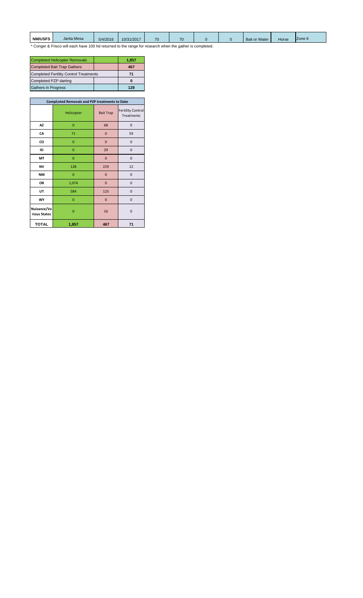| <b>NM/USFS</b> | Jarita Mesa                                                                                              | 5/4/2016 | 10/31/2017 |  | $70^{\circ}$ |  |  | <b>Bait or Water</b> | Horse | Zone 6 |  |  |
|----------------|----------------------------------------------------------------------------------------------------------|----------|------------|--|--------------|--|--|----------------------|-------|--------|--|--|
|                | * Conger & Frisco will each have 100 hd returned to the range for research when the gather is completed. |          |            |  |              |  |  |                      |       |        |  |  |

| <b>Completed Helicopter Removals</b>          |     | 1,857 |
|-----------------------------------------------|-----|-------|
| <b>Completed Bait Trap Gathers</b>            | 467 |       |
| <b>Completed Fertility Control Treatments</b> | 71  |       |
| Completed PZP darting                         |     |       |
| <b>Gathers in Progress</b>                    |     | 128   |

| Compl; eted Removals and PZP treatments to Date |                |                  |                                        |  |  |  |  |  |  |
|-------------------------------------------------|----------------|------------------|----------------------------------------|--|--|--|--|--|--|
|                                                 | Helicopter     | <b>Bait Trap</b> | <b>Fertility Control</b><br>Treatments |  |  |  |  |  |  |
| AZ                                              | $\overline{0}$ | 68               | $\mathbf 0$                            |  |  |  |  |  |  |
| CA                                              | 71             | $\mathbf{0}$     | 59                                     |  |  |  |  |  |  |
| co                                              | 0              | $\bf{0}$         | 0                                      |  |  |  |  |  |  |
| ID                                              | $\overline{0}$ | 29               | $\mathbf 0$                            |  |  |  |  |  |  |
| MT                                              | $\overline{0}$ | $\mathbf 0$      | $\overline{0}$                         |  |  |  |  |  |  |
| <b>NV</b>                                       | 128            | 229              | 12                                     |  |  |  |  |  |  |
| NΜ                                              | $\mathbf{0}$   | $\mathbf{0}$     | 0                                      |  |  |  |  |  |  |
| OR                                              | 1,074          | $\overline{0}$   | $\mathbf 0$                            |  |  |  |  |  |  |
| UT                                              | 584            | 125              | $\overline{0}$                         |  |  |  |  |  |  |
| WY                                              | $\mathbf{0}$   | $\bf{0}$         | $\mathbf 0$                            |  |  |  |  |  |  |
| Nuisance/Va<br>rious States                     | $\overline{0}$ | 16               | 0                                      |  |  |  |  |  |  |
| <b>TOTAL</b>                                    | 1,857          | 467              | 71                                     |  |  |  |  |  |  |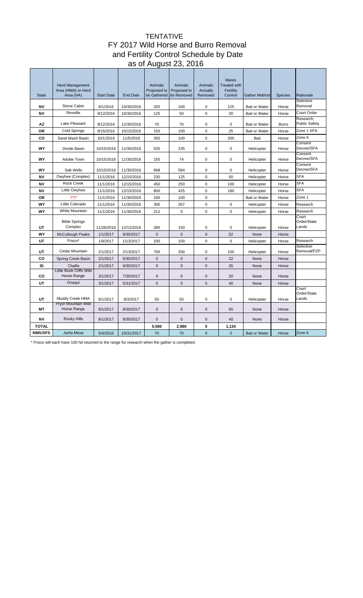# TENTATIVE FY 2017 Wild Horse and Burro Removal and Fertility Control Schedule by Date as of August 23, 2016

| <b>State</b>           | <b>Herd Management</b><br>Area (HMA) or Herd<br>Area (HA) | <b>Start Date</b>      | <b>End Date</b>          | Animals<br>Proposed to<br>be Gathered | Animals<br>Proposed to<br>be Removed | Animals<br><b>Actually</b><br>Removed | <b>Mares</b><br><b>Treated with</b><br>Fertility<br>Control | <b>Gather Method</b>     | <b>Species</b> | Rationale                         |
|------------------------|-----------------------------------------------------------|------------------------|--------------------------|---------------------------------------|--------------------------------------|---------------------------------------|-------------------------------------------------------------|--------------------------|----------------|-----------------------------------|
| <b>NV</b>              | Stone Cabin                                               | 9/1/2016               | 10/30/2016               | 325                                   | 100                                  | 0                                     | 125                                                         | <b>Bait or Water</b>     | Horse          | Selective<br>Removal              |
| <b>NV</b>              | Reveille                                                  | 9/12/2016              | 10/30/2016               | 125                                   | 50                                   | $\Omega$                              | 30                                                          | <b>Bait or Water</b>     | Horse          | Court Order                       |
| AZ                     | Lake Pleasant                                             | 9/12/2016              | 12/30/2016               | 70                                    | 70                                   | $\mathbf 0$                           | $\mathbf 0$                                                 | <b>Bait or Water</b>     | <b>Burro</b>   | Research;<br><b>Public Safety</b> |
| <b>OR</b>              | Cold Springs                                              | 9/15/2016              | 10/15/2016               | 150                                   | 100                                  | $\mathbf 0$                           | 25                                                          | <b>Bait or Water</b>     | Horse          | Zone 1 SFA                        |
| CO                     | Sand Wash Basin                                           | 10/1/2016              | 11/5/2016                | 350                                   | 100                                  | $\mathbf 0$                           | 200                                                         | <b>Bait</b>              | Horse          | Zone 6                            |
| WY                     | Divide Basin                                              | 10/15/2016             | 11/30/2016               | 520                                   | 235                                  | $\mathbf 0$                           | $\mathbf 0$                                                 | Helicopter               | Horse          | Consent<br>Decree/SFA             |
| WY                     | Adobe Town                                                | 10/15/2016             | 11/30/2016               | 150                                   | 74                                   | $\mathbf 0$                           | $\mathbf 0$                                                 | Helicopter               | Horse          | Consent<br>Decree/SFA             |
|                        |                                                           |                        |                          |                                       |                                      |                                       |                                                             |                          |                | Consent                           |
| WY                     | Salt Wells                                                | 10/15/2016             | 11/30/2016               | 668                                   | 584                                  | $\mathbf 0$                           | $\mathbf 0$                                                 | Helicopter               | Horse          | Decree/SFA                        |
| <b>NV</b>              | Owyhee (Complex)<br><b>Rock Creek</b>                     | 11/1/2016              | 12/15/2016               | 230                                   | 125                                  | $\mathbf 0$                           | 50                                                          | Helicopter               | Horse          | <b>SFA</b><br><b>SFA</b>          |
| <b>NV</b><br><b>NV</b> | Little Owyhee                                             | 11/1/2016              | 12/15/2016               | 450                                   | 250                                  | 0<br>$\Omega$                         | 100                                                         | Helicopter               | Horse          | <b>SFA</b>                        |
| <b>OR</b>              | ???                                                       | 11/1/2016              | 12/15/2016               | 800<br>100                            | 425<br>100                           | $\mathbf 0$                           | 180                                                         | Helicopter               | Horse          | Zone 1                            |
| WY                     | Little Colorado                                           | 11/1/2016<br>11/1/2016 | 11/30/2016<br>11/30/2016 | 300                                   | 267                                  | $\mathbf 0$                           | $\mathbf 0$                                                 | <b>Bait or Water</b>     | Horse<br>Horse | Research                          |
| WY                     | <b>White Mountain</b>                                     | 11/1/2016              | 11/30/2016               | 212                                   | $\mathbf 0$                          | $\mathbf 0$                           | $\Omega$                                                    | Helicopter<br>Helicopter | Horse          | Research                          |
|                        |                                                           |                        |                          |                                       |                                      |                                       |                                                             |                          |                | Court                             |
| UT                     | <b>Bible Springs</b><br>Complex                           | 11/29/2016             | 12/12/2016               | 280                                   | 150                                  | $\mathbf 0$                           | 0                                                           | Helicopter               | Horse          | Order/State<br>Lands              |
| WY                     | <b>McCullough Peaks</b>                                   | 1/1/2017               | 9/30/2017                | $\mathbf{0}$                          | $\mathbf{0}$                         | $\overline{0}$                        | 52                                                          | None                     | Horse          |                                   |
| UT                     | Frisco*                                                   | 1/9/2017               | 1/13/2017                | 100                                   | 100                                  | 0                                     | $\Omega$                                                    | Helicopter               | Horse          | Research                          |
| UT                     | Cedar Mountain                                            | 2/1/2017               | 2/13/2017                | 700                                   | 200                                  | $\Omega$                              | 150                                                         | Helicopter               | Horse          | Selective<br>Removal/PZP          |
| CO                     | Spring Creek Basin                                        | 2/1/2017               | 5/30/2017                | $\mathbf{0}$                          | $\mathbf{0}$                         | $\mathbf 0$                           | 22                                                          | None                     | Horse          |                                   |
| ID                     | Challis                                                   | 2/1/2017               | 9/30/2017                | 0                                     | $\mathbf{0}$                         | $\mathbf 0$                           | 35                                                          | None                     | Horse          |                                   |
| CO                     | Little Book Cliffs Wild<br>Horse Range                    | 3/1/2017               | 7/30/2017                | 0                                     | $\mathbf 0$                          | $\mathbf 0$                           | 20                                                          | None                     | Horse          |                                   |
| UT                     | Onaqui                                                    | 3/1/2017               | 5/31/2017                | $\overline{0}$                        | $\mathbf{0}$                         | $\mathbf 0$                           | 40                                                          | None                     | Horse          |                                   |
| UT                     | Muddy Creek HMA                                           | 8/1/2017               | 8/3/2017                 | 50                                    | 50                                   | 0                                     | $\mathbf 0$                                                 | Helicopter               | Horse          | Court<br>Order/State<br>Lands     |
| МT                     | Pryor Mountain Wild<br>Horse Range                        | 8/1/2017               | 9/30/2017                | 0                                     | $\mathbf 0$                          | $\mathbf 0$                           | 65                                                          | None                     | Horse          |                                   |
| <b>NV</b>              | <b>Rocky Hills</b>                                        | 8/1/2017               | 9/30/2017                | 0                                     | $\pmb{0}$                            | $\mathbf 0$                           | 40                                                          | None                     | Horse          |                                   |
| <b>TOTAL</b>           |                                                           |                        |                          | 5,580                                 | 2.980                                | $\mathbf{0}$                          | 1,134                                                       |                          |                |                                   |
| <b>NM/USFS</b>         | Jarita Mesa                                               | 5/4/2016               | 10/31/2017               | 70                                    | 70                                   | $\overline{0}$                        | $\mathbf{0}$                                                | <b>Bait or Water</b>     | Horse          | Zone 6                            |
|                        |                                                           |                        |                          |                                       |                                      |                                       |                                                             |                          |                |                                   |

\* Frisco will each have 100 hd returned to the range for research when the gather is completed.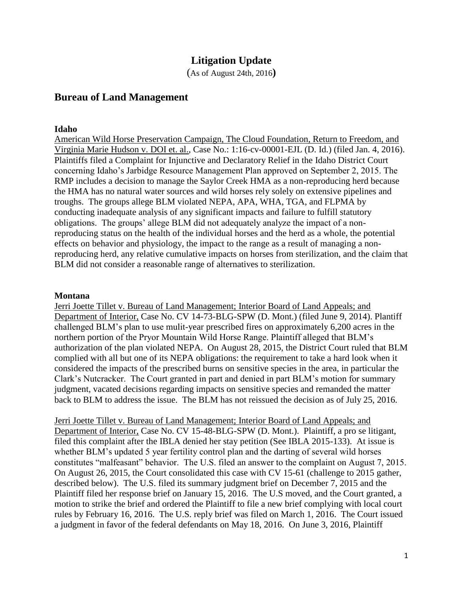# **Litigation Update**

(As of August 24th, 2016**)**

# **Bureau of Land Management**

#### **Idaho**

American Wild Horse Preservation Campaign, The Cloud Foundation, Return to Freedom, and Virginia Marie Hudson v. DOI et. al., Case No.: 1:16-cv-00001-EJL (D. Id.) (filed Jan. 4, 2016). Plaintiffs filed a Complaint for Injunctive and Declaratory Relief in the Idaho District Court concerning Idaho's Jarbidge Resource Management Plan approved on September 2, 2015. The RMP includes a decision to manage the Saylor Creek HMA as a non-reproducing herd because the HMA has no natural water sources and wild horses rely solely on extensive pipelines and troughs. The groups allege BLM violated NEPA, APA, WHA, TGA, and FLPMA by conducting inadequate analysis of any significant impacts and failure to fulfill statutory obligations. The groups' allege BLM did not adequately analyze the impact of a nonreproducing status on the health of the individual horses and the herd as a whole, the potential effects on behavior and physiology, the impact to the range as a result of managing a nonreproducing herd, any relative cumulative impacts on horses from sterilization, and the claim that BLM did not consider a reasonable range of alternatives to sterilization.

#### **Montana**

Jerri Joette Tillet v. Bureau of Land Management; Interior Board of Land Appeals; and Department of Interior, Case No. CV 14-73-BLG-SPW (D. Mont.) (filed June 9, 2014). Plantiff challenged BLM's plan to use mulit-year prescribed fires on approximately 6,200 acres in the northern portion of the Pryor Mountain Wild Horse Range. Plaintiff alleged that BLM's authorization of the plan violated NEPA. On August 28, 2015, the District Court ruled that BLM complied with all but one of its NEPA obligations: the requirement to take a hard look when it considered the impacts of the prescribed burns on sensitive species in the area, in particular the Clark's Nutcracker. The Court granted in part and denied in part BLM's motion for summary judgment, vacated decisions regarding impacts on sensitive species and remanded the matter back to BLM to address the issue. The BLM has not reissued the decision as of July 25, 2016.

Jerri Joette Tillet v. Bureau of Land Management; Interior Board of Land Appeals; and Department of Interior, Case No. CV 15-48-BLG-SPW (D. Mont.). Plaintiff, a pro se litigant, filed this complaint after the IBLA denied her stay petition (See IBLA 2015-133). At issue is whether BLM's updated 5 year fertility control plan and the darting of several wild horses constitutes "malfeasant" behavior. The U.S. filed an answer to the complaint on August 7, 2015. On August 26, 2015, the Court consolidated this case with CV 15-61 (challenge to 2015 gather, described below). The U.S. filed its summary judgment brief on December 7, 2015 and the Plaintiff filed her response brief on January 15, 2016. The U.S moved, and the Court granted, a motion to strike the brief and ordered the Plaintiff to file a new brief complying with local court rules by February 16, 2016. The U.S. reply brief was filed on March 1, 2016. The Court issued a judgment in favor of the federal defendants on May 18, 2016. On June 3, 2016, Plaintiff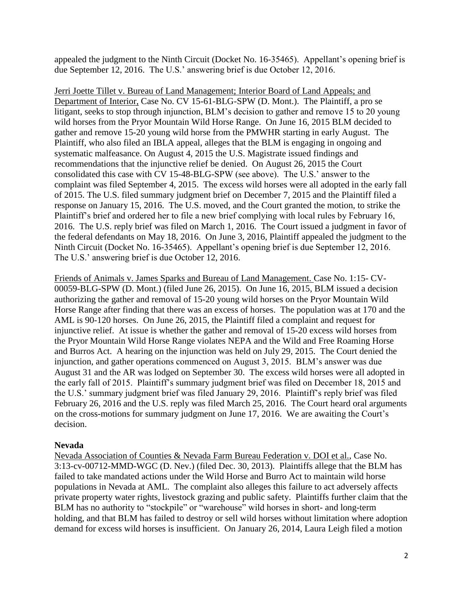appealed the judgment to the Ninth Circuit (Docket No. 16-35465). Appellant's opening brief is due September 12, 2016. The U.S.' answering brief is due October 12, 2016.

Jerri Joette Tillet v. Bureau of Land Management; Interior Board of Land Appeals; and Department of Interior, Case No. CV 15-61-BLG-SPW (D. Mont.). The Plaintiff, a pro se litigant, seeks to stop through injunction, BLM's decision to gather and remove 15 to 20 young wild horses from the Pryor Mountain Wild Horse Range. On June 16, 2015 BLM decided to gather and remove 15-20 young wild horse from the PMWHR starting in early August. The Plaintiff, who also filed an IBLA appeal, alleges that the BLM is engaging in ongoing and systematic malfeasance. On August 4, 2015 the U.S. Magistrate issued findings and recommendations that the injunctive relief be denied. On August 26, 2015 the Court consolidated this case with CV 15-48-BLG-SPW (see above). The U.S.' answer to the complaint was filed September 4, 2015. The excess wild horses were all adopted in the early fall of 2015. The U.S. filed summary judgment brief on December 7, 2015 and the Plaintiff filed a response on January 15, 2016. The U.S. moved, and the Court granted the motion, to strike the Plaintiff's brief and ordered her to file a new brief complying with local rules by February 16, 2016. The U.S. reply brief was filed on March 1, 2016. The Court issued a judgment in favor of the federal defendants on May 18, 2016. On June 3, 2016, Plaintiff appealed the judgment to the Ninth Circuit (Docket No. 16-35465). Appellant's opening brief is due September 12, 2016. The U.S.' answering brief is due October 12, 2016.

Friends of Animals v. James Sparks and Bureau of Land Management. Case No. 1:15- CV-00059-BLG-SPW (D. Mont.) (filed June 26, 2015). On June 16, 2015, BLM issued a decision authorizing the gather and removal of 15-20 young wild horses on the Pryor Mountain Wild Horse Range after finding that there was an excess of horses. The population was at 170 and the AML is 90-120 horses. On June 26, 2015, the Plaintiff filed a complaint and request for injunctive relief. At issue is whether the gather and removal of 15-20 excess wild horses from the Pryor Mountain Wild Horse Range violates NEPA and the Wild and Free Roaming Horse and Burros Act. A hearing on the injunction was held on July 29, 2015. The Court denied the injunction, and gather operations commenced on August 3, 2015. BLM's answer was due August 31 and the AR was lodged on September 30. The excess wild horses were all adopted in the early fall of 2015. Plaintiff's summary judgment brief was filed on December 18, 2015 and the U.S.' summary judgment brief was filed January 29, 2016. Plaintiff's reply brief was filed February 26, 2016 and the U.S. reply was filed March 25, 2016. The Court heard oral arguments on the cross-motions for summary judgment on June 17, 2016. We are awaiting the Court's decision.

# **Nevada**

Nevada Association of Counties & Nevada Farm Bureau Federation v. DOI et al., Case No. 3:13-cv-00712-MMD-WGC (D. Nev.) (filed Dec. 30, 2013). Plaintiffs allege that the BLM has failed to take mandated actions under the Wild Horse and Burro Act to maintain wild horse populations in Nevada at AML. The complaint also alleges this failure to act adversely affects private property water rights, livestock grazing and public safety. Plaintiffs further claim that the BLM has no authority to "stockpile" or "warehouse" wild horses in short- and long-term holding, and that BLM has failed to destroy or sell wild horses without limitation where adoption demand for excess wild horses is insufficient. On January 26, 2014, Laura Leigh filed a motion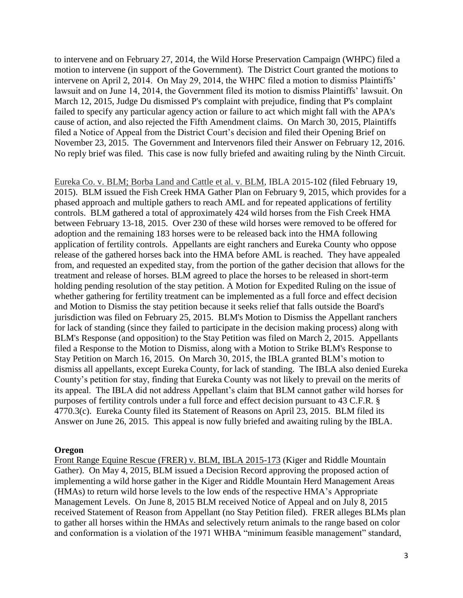to intervene and on February 27, 2014, the Wild Horse Preservation Campaign (WHPC) filed a motion to intervene (in support of the Government). The District Court granted the motions to intervene on April 2, 2014. On May 29, 2014, the WHPC filed a motion to dismiss Plaintiffs' lawsuit and on June 14, 2014, the Government filed its motion to dismiss Plaintiffs' lawsuit. On March 12, 2015, Judge Du dismissed P's complaint with prejudice, finding that P's complaint failed to specify any particular agency action or failure to act which might fall with the APA's cause of action, and also rejected the Fifth Amendment claims. On March 30, 2015, Plaintiffs filed a Notice of Appeal from the District Court's decision and filed their Opening Brief on November 23, 2015. The Government and Intervenors filed their Answer on February 12, 2016. No reply brief was filed. This case is now fully briefed and awaiting ruling by the Ninth Circuit.

Eureka Co. v. BLM; Borba Land and Cattle et al. v. BLM, IBLA 2015-102 (filed February 19, 2015). BLM issued the Fish Creek HMA Gather Plan on February 9, 2015, which provides for a phased approach and multiple gathers to reach AML and for repeated applications of fertility controls. BLM gathered a total of approximately 424 wild horses from the Fish Creek HMA between February 13-18, 2015. Over 230 of these wild horses were removed to be offered for adoption and the remaining 183 horses were to be released back into the HMA following application of fertility controls. Appellants are eight ranchers and Eureka County who oppose release of the gathered horses back into the HMA before AML is reached. They have appealed from, and requested an expedited stay, from the portion of the gather decision that allows for the treatment and release of horses. BLM agreed to place the horses to be released in short-term holding pending resolution of the stay petition. A Motion for Expedited Ruling on the issue of whether gathering for fertility treatment can be implemented as a full force and effect decision and Motion to Dismiss the stay petition because it seeks relief that falls outside the Board's jurisdiction was filed on February 25, 2015. BLM's Motion to Dismiss the Appellant ranchers for lack of standing (since they failed to participate in the decision making process) along with BLM's Response (and opposition) to the Stay Petition was filed on March 2, 2015. Appellants filed a Response to the Motion to Dismiss, along with a Motion to Strike BLM's Response to Stay Petition on March 16, 2015. On March 30, 2015, the IBLA granted BLM's motion to dismiss all appellants, except Eureka County, for lack of standing. The IBLA also denied Eureka County's petition for stay, finding that Eureka County was not likely to prevail on the merits of its appeal. The IBLA did not address Appellant's claim that BLM cannot gather wild horses for purposes of fertility controls under a full force and effect decision pursuant to 43 C.F.R. § 4770.3(c). Eureka County filed its Statement of Reasons on April 23, 2015. BLM filed its Answer on June 26, 2015. This appeal is now fully briefed and awaiting ruling by the IBLA.

#### **Oregon**

Front Range Equine Rescue (FRER) v. BLM, IBLA 2015-173 (Kiger and Riddle Mountain Gather). On May 4, 2015, BLM issued a Decision Record approving the proposed action of implementing a wild horse gather in the Kiger and Riddle Mountain Herd Management Areas (HMAs) to return wild horse levels to the low ends of the respective HMA's Appropriate Management Levels. On June 8, 2015 BLM received Notice of Appeal and on July 8, 2015 received Statement of Reason from Appellant (no Stay Petition filed). FRER alleges BLMs plan to gather all horses within the HMAs and selectively return animals to the range based on color and conformation is a violation of the 1971 WHBA "minimum feasible management" standard,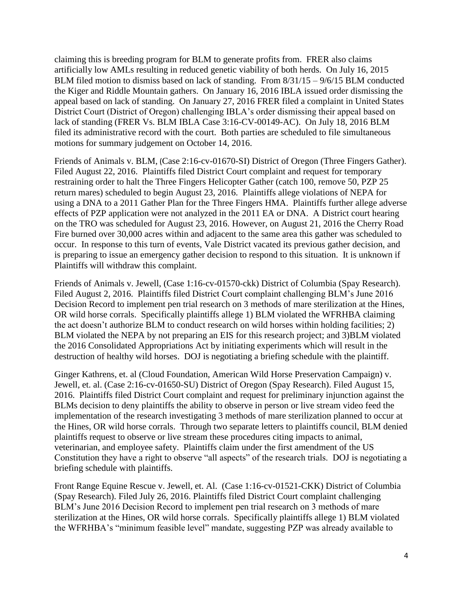claiming this is breeding program for BLM to generate profits from. FRER also claims artificially low AMLs resulting in reduced genetic viability of both herds. On July 16, 2015 BLM filed motion to dismiss based on lack of standing. From 8/31/15 – 9/6/15 BLM conducted the Kiger and Riddle Mountain gathers. On January 16, 2016 IBLA issued order dismissing the appeal based on lack of standing. On January 27, 2016 FRER filed a complaint in United States District Court (District of Oregon) challenging IBLA's order dismissing their appeal based on lack of standing (FRER Vs. BLM IBLA Case 3:16-CV-00149-AC). On July 18, 2016 BLM filed its administrative record with the court. Both parties are scheduled to file simultaneous motions for summary judgement on October 14, 2016.

Friends of Animals v. BLM, (Case 2:16-cv-01670-SI) District of Oregon (Three Fingers Gather). Filed August 22, 2016. Plaintiffs filed District Court complaint and request for temporary restraining order to halt the Three Fingers Helicopter Gather (catch 100, remove 50, PZP 25 return mares) scheduled to begin August 23, 2016. Plaintiffs allege violations of NEPA for using a DNA to a 2011 Gather Plan for the Three Fingers HMA. Plaintiffs further allege adverse effects of PZP application were not analyzed in the 2011 EA or DNA. A District court hearing on the TRO was scheduled for August 23, 2016. However, on August 21, 2016 the Cherry Road Fire burned over 30,000 acres within and adjacent to the same area this gather was scheduled to occur. In response to this turn of events, Vale District vacated its previous gather decision, and is preparing to issue an emergency gather decision to respond to this situation. It is unknown if Plaintiffs will withdraw this complaint.

Friends of Animals v. Jewell, (Case 1:16-cv-01570-ckk) District of Columbia (Spay Research). Filed August 2, 2016. Plaintiffs filed District Court complaint challenging BLM's June 2016 Decision Record to implement pen trial research on 3 methods of mare sterilization at the Hines, OR wild horse corrals. Specifically plaintiffs allege 1) BLM violated the WFRHBA claiming the act doesn't authorize BLM to conduct research on wild horses within holding facilities; 2) BLM violated the NEPA by not preparing an EIS for this research project; and 3)BLM violated the 2016 Consolidated Appropriations Act by initiating experiments which will result in the destruction of healthy wild horses. DOJ is negotiating a briefing schedule with the plaintiff.

Ginger Kathrens, et. al (Cloud Foundation, American Wild Horse Preservation Campaign) v. Jewell, et. al. (Case 2:16-cv-01650-SU) District of Oregon (Spay Research). Filed August 15, 2016. Plaintiffs filed District Court complaint and request for preliminary injunction against the BLMs decision to deny plaintiffs the ability to observe in person or live stream video feed the implementation of the research investigating 3 methods of mare sterilization planned to occur at the Hines, OR wild horse corrals. Through two separate letters to plaintiffs council, BLM denied plaintiffs request to observe or live stream these procedures citing impacts to animal, veterinarian, and employee safety. Plaintiffs claim under the first amendment of the US Constitution they have a right to observe "all aspects" of the research trials. DOJ is negotiating a briefing schedule with plaintiffs.

Front Range Equine Rescue v. Jewell, et. Al. (Case 1:16-cv-01521-CKK) District of Columbia (Spay Research). Filed July 26, 2016. Plaintiffs filed District Court complaint challenging BLM's June 2016 Decision Record to implement pen trial research on 3 methods of mare sterilization at the Hines, OR wild horse corrals. Specifically plaintiffs allege 1) BLM violated the WFRHBA's "minimum feasible level" mandate, suggesting PZP was already available to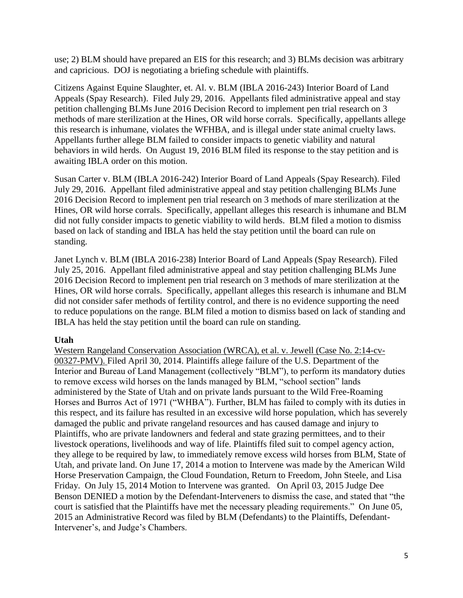use; 2) BLM should have prepared an EIS for this research; and 3) BLMs decision was arbitrary and capricious. DOJ is negotiating a briefing schedule with plaintiffs.

Citizens Against Equine Slaughter, et. Al. v. BLM (IBLA 2016-243) Interior Board of Land Appeals (Spay Research). Filed July 29, 2016. Appellants filed administrative appeal and stay petition challenging BLMs June 2016 Decision Record to implement pen trial research on 3 methods of mare sterilization at the Hines, OR wild horse corrals. Specifically, appellants allege this research is inhumane, violates the WFHBA, and is illegal under state animal cruelty laws. Appellants further allege BLM failed to consider impacts to genetic viability and natural behaviors in wild herds. On August 19, 2016 BLM filed its response to the stay petition and is awaiting IBLA order on this motion.

Susan Carter v. BLM (IBLA 2016-242) Interior Board of Land Appeals (Spay Research). Filed July 29, 2016. Appellant filed administrative appeal and stay petition challenging BLMs June 2016 Decision Record to implement pen trial research on 3 methods of mare sterilization at the Hines, OR wild horse corrals. Specifically, appellant alleges this research is inhumane and BLM did not fully consider impacts to genetic viability to wild herds. BLM filed a motion to dismiss based on lack of standing and IBLA has held the stay petition until the board can rule on standing.

Janet Lynch v. BLM (IBLA 2016-238) Interior Board of Land Appeals (Spay Research). Filed July 25, 2016. Appellant filed administrative appeal and stay petition challenging BLMs June 2016 Decision Record to implement pen trial research on 3 methods of mare sterilization at the Hines, OR wild horse corrals. Specifically, appellant alleges this research is inhumane and BLM did not consider safer methods of fertility control, and there is no evidence supporting the need to reduce populations on the range. BLM filed a motion to dismiss based on lack of standing and IBLA has held the stay petition until the board can rule on standing.

# **Utah**

Western Rangeland Conservation Association (WRCA), et al. v. Jewell (Case No. 2:14-cv-00327-PMV). Filed April 30, 2014. Plaintiffs allege failure of the U.S. Department of the Interior and Bureau of Land Management (collectively "BLM"), to perform its mandatory duties to remove excess wild horses on the lands managed by BLM, "school section" lands administered by the State of Utah and on private lands pursuant to the Wild Free-Roaming Horses and Burros Act of 1971 ("WHBA"). Further, BLM has failed to comply with its duties in this respect, and its failure has resulted in an excessive wild horse population, which has severely damaged the public and private rangeland resources and has caused damage and injury to Plaintiffs, who are private landowners and federal and state grazing permittees, and to their livestock operations, livelihoods and way of life. Plaintiffs filed suit to compel agency action, they allege to be required by law, to immediately remove excess wild horses from BLM, State of Utah, and private land. On June 17, 2014 a motion to Intervene was made by the American Wild Horse Preservation Campaign, the Cloud Foundation, Return to Freedom, John Steele, and Lisa Friday. On July 15, 2014 Motion to Intervene was granted. On April 03, 2015 Judge Dee Benson DENIED a motion by the Defendant-Interveners to dismiss the case, and stated that "the court is satisfied that the Plaintiffs have met the necessary pleading requirements." On June 05, 2015 an Administrative Record was filed by BLM (Defendants) to the Plaintiffs, Defendant-Intervener's, and Judge's Chambers.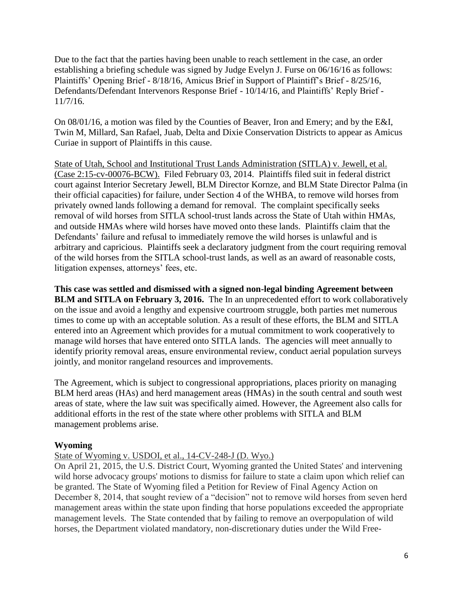Due to the fact that the parties having been unable to reach settlement in the case, an order establishing a briefing schedule was signed by Judge Evelyn J. Furse on 06/16/16 as follows: Plaintiffs' Opening Brief - 8/18/16, Amicus Brief in Support of Plaintiff's Brief - 8/25/16, Defendants/Defendant Intervenors Response Brief - 10/14/16, and Plaintiffs' Reply Brief - 11/7/16.

On 08/01/16, a motion was filed by the Counties of Beaver, Iron and Emery; and by the E&I, Twin M, Millard, San Rafael, Juab, Delta and Dixie Conservation Districts to appear as Amicus Curiae in support of Plaintiffs in this cause.

State of Utah, School and Institutional Trust Lands Administration (SITLA) v. Jewell, et al. (Case 2:15-cv-00076-BCW). Filed February 03, 2014. Plaintiffs filed suit in federal district court against Interior Secretary Jewell, BLM Director Kornze, and BLM State Director Palma (in their official capacities) for failure, under Section 4 of the WHBA, to remove wild horses from privately owned lands following a demand for removal. The complaint specifically seeks removal of wild horses from SITLA school-trust lands across the State of Utah within HMAs, and outside HMAs where wild horses have moved onto these lands. Plaintiffs claim that the Defendants' failure and refusal to immediately remove the wild horses is unlawful and is arbitrary and capricious. Plaintiffs seek a declaratory judgment from the court requiring removal of the wild horses from the SITLA school-trust lands, as well as an award of reasonable costs, litigation expenses, attorneys' fees, etc.

**This case was settled and dismissed with a signed non-legal binding Agreement between BLM and SITLA on February 3, 2016.** The In an unprecedented effort to work collaboratively on the issue and avoid a lengthy and expensive courtroom struggle, both parties met numerous times to come up with an acceptable solution. As a result of these efforts, the BLM and SITLA entered into an Agreement which provides for a mutual commitment to work cooperatively to manage wild horses that have entered onto SITLA lands. The agencies will meet annually to identify priority removal areas, ensure environmental review, conduct aerial population surveys jointly, and monitor rangeland resources and improvements.

The Agreement, which is subject to congressional appropriations, places priority on managing BLM herd areas (HAs) and herd management areas (HMAs) in the south central and south west areas of state, where the law suit was specifically aimed. However, the Agreement also calls for additional efforts in the rest of the state where other problems with SITLA and BLM management problems arise.

# **Wyoming**

# State of Wyoming v. USDOI, et al., 14-CV-248-J (D. Wyo.)

On April 21, 2015, the U.S. District Court, Wyoming granted the United States' and intervening wild horse advocacy groups' motions to dismiss for failure to state a claim upon which relief can be granted. The State of Wyoming filed a Petition for Review of Final Agency Action on December 8, 2014, that sought review of a "decision" not to remove wild horses from seven herd management areas within the state upon finding that horse populations exceeded the appropriate management levels. The State contended that by failing to remove an overpopulation of wild horses, the Department violated mandatory, non-discretionary duties under the Wild Free-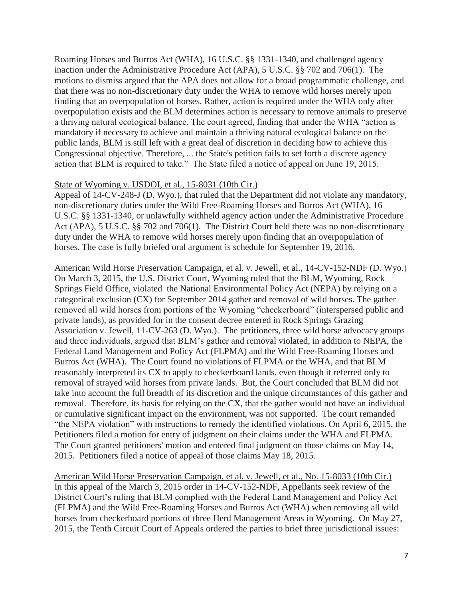Roaming Horses and Burros Act (WHA), 16 U.S.C. §§ 1331-1340, and challenged agency inaction under the Administrative Procedure Act (APA), 5 U.S.C. §§ 702 and 706(1). The motions to dismiss argued that the APA does not allow for a broad programmatic challenge, and that there was no non-discretionary duty under the WHA to remove wild horses merely upon finding that an overpopulation of horses. Rather, action is required under the WHA only after overpopulation exists and the BLM determines action is necessary to remove animals to preserve a thriving natural ecological balance. The court agreed, finding that under the WHA "action is mandatory if necessary to achieve and maintain a thriving natural ecological balance on the public lands, BLM is still left with a great deal of discretion in deciding how to achieve this Congressional objective. Therefore, ... the State's petition fails to set forth a discrete agency action that BLM is required to take." The State filed a notice of appeal on June 19, 2015.

### State of Wyoming v. USDOI, et al., 15-8031 (10th Cir.)

Appeal of 14-CV-248-J (D. Wyo.), that ruled that the Department did not violate any mandatory, non-discretionary duties under the Wild Free-Roaming Horses and Burros Act (WHA), 16 U.S.C. §§ 1331-1340, or unlawfully withheld agency action under the Administrative Procedure Act (APA), 5 U.S.C. §§ 702 and 706(1). The District Court held there was no non-discretionary duty under the WHA to remove wild horses merely upon finding that an overpopulation of horses. The case is fully briefed oral argument is schedule for September 19, 2016.

American Wild Horse Preservation Campaign, et al. v. Jewell, et al., 14-CV-152-NDF (D. Wyo.) On March 3, 2015, the U.S. District Court, Wyoming ruled that the BLM, Wyoming, Rock Springs Field Office, violated the National Environmental Policy Act (NEPA) by relying on a categorical exclusion (CX) for September 2014 gather and removal of wild horses. The gather removed all wild horses from portions of the Wyoming "checkerboard" (interspersed public and private lands), as provided for in the consent decree entered in Rock Springs Grazing Association v. Jewell, 11-CV-263 (D. Wyo.). The petitioners, three wild horse advocacy groups and three individuals, argued that BLM's gather and removal violated, in addition to NEPA, the Federal Land Management and Policy Act (FLPMA) and the Wild Free-Roaming Horses and Burros Act (WHA). The Court found no violations of FLPMA or the WHA, and that BLM reasonably interpreted its CX to apply to checkerboard lands, even though it referred only to removal of strayed wild horses from private lands. But, the Court concluded that BLM did not take into account the full breadth of its discretion and the unique circumstances of this gather and removal. Therefore, its basis for relying on the CX, that the gather would not have an individual or cumulative significant impact on the environment, was not supported. The court remanded "the NEPA violation" with instructions to remedy the identified violations. On April 6, 2015, the Petitioners filed a motion for entry of judgment on their claims under the WHA and FLPMA. The Court granted petitioners' motion and entered final judgment on those claims on May 14, 2015. Petitioners filed a notice of appeal of those claims May 18, 2015.

American Wild Horse Preservation Campaign, et al. v. Jewell, et al., No. 15-8033 (10th Cir.) In this appeal of the March 3, 2015 order in 14-CV-152-NDF, Appellants seek review of the District Court's ruling that BLM complied with the Federal Land Management and Policy Act (FLPMA) and the Wild Free-Roaming Horses and Burros Act (WHA) when removing all wild horses from checkerboard portions of three Herd Management Areas in Wyoming. On May 27, 2015, the Tenth Circuit Court of Appeals ordered the parties to brief three jurisdictional issues: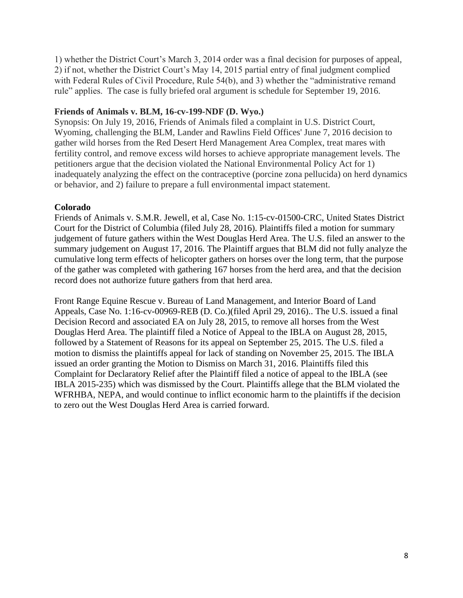1) whether the District Court's March 3, 2014 order was a final decision for purposes of appeal, 2) if not, whether the District Court's May 14, 2015 partial entry of final judgment complied with Federal Rules of Civil Procedure, Rule 54(b), and 3) whether the "administrative remand rule" applies. The case is fully briefed oral argument is schedule for September 19, 2016.

## **Friends of Animals v. BLM, 16-cv-199-NDF (D. Wyo.)**

Synopsis: On July 19, 2016, Friends of Animals filed a complaint in U.S. District Court, Wyoming, challenging the BLM, Lander and Rawlins Field Offices' June 7, 2016 decision to gather wild horses from the Red Desert Herd Management Area Complex, treat mares with fertility control, and remove excess wild horses to achieve appropriate management levels. The petitioners argue that the decision violated the National Environmental Policy Act for 1) inadequately analyzing the effect on the contraceptive (porcine zona pellucida) on herd dynamics or behavior, and 2) failure to prepare a full environmental impact statement.

## **Colorado**

Friends of Animals v. S.M.R. Jewell, et al, Case No. 1:15-cv-01500-CRC, United States District Court for the District of Columbia (filed July 28, 2016). Plaintiffs filed a motion for summary judgement of future gathers within the West Douglas Herd Area. The U.S. filed an answer to the summary judgement on August 17, 2016. The Plaintiff argues that BLM did not fully analyze the cumulative long term effects of helicopter gathers on horses over the long term, that the purpose of the gather was completed with gathering 167 horses from the herd area, and that the decision record does not authorize future gathers from that herd area.

Front Range Equine Rescue v. Bureau of Land Management, and Interior Board of Land Appeals, Case No. 1:16-cv-00969-REB (D. Co.)(filed April 29, 2016).. The U.S. issued a final Decision Record and associated EA on July 28, 2015, to remove all horses from the West Douglas Herd Area. The plaintiff filed a Notice of Appeal to the IBLA on August 28, 2015, followed by a Statement of Reasons for its appeal on September 25, 2015. The U.S. filed a motion to dismiss the plaintiffs appeal for lack of standing on November 25, 2015. The IBLA issued an order granting the Motion to Dismiss on March 31, 2016. Plaintiffs filed this Complaint for Declaratory Relief after the Plaintiff filed a notice of appeal to the IBLA (see IBLA 2015-235) which was dismissed by the Court. Plaintiffs allege that the BLM violated the WFRHBA, NEPA, and would continue to inflict economic harm to the plaintiffs if the decision to zero out the West Douglas Herd Area is carried forward.